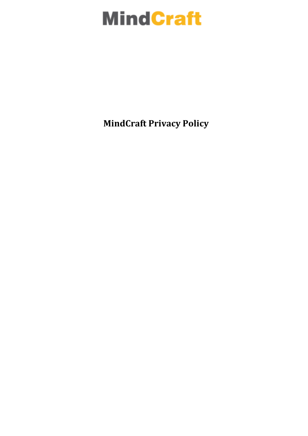# **MindCraft**

**MindCraft Privacy Policy**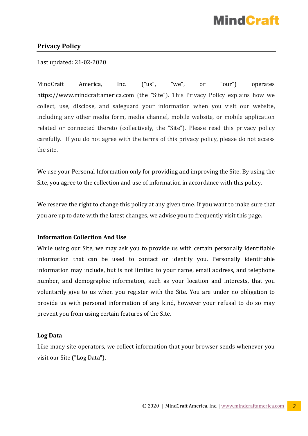# MindCra

# **Privacy Policy**

Last updated: 21-02-2020

MindCraft America, Inc. ("us", "we", or "our") operates https://www.mindcraftamerica.com (the "Site"). This Privacy Policy explains how we collect, use, disclose, and safeguard your information when you visit our website, including any other media form, media channel, mobile website, or mobile application related or connected thereto (collectively, the "Site"). Please read this privacy policy carefully. If you do not agree with the terms of this privacy policy, please do not access the site.

We use your Personal Information only for providing and improving the Site. By using the Site, you agree to the collection and use of information in accordance with this policy.

We reserve the right to change this policy at any given time. If you want to make sure that you are up to date with the latest changes, we advise you to frequently visit this page.

#### **Information Collection And Use**

While using our Site, we may ask you to provide us with certain personally identifiable information that can be used to contact or identify you. Personally identifiable information may include, but is not limited to your name, email address, and telephone number, and demographic information, such as your location and interests, that you voluntarily give to us when you register with the Site. You are under no obligation to provide us with personal information of any kind, however your refusal to do so may prevent you from using certain features of the Site.

#### **Log Data**

Like many site operators, we collect information that your browser sends whenever you visit our Site ("Log Data").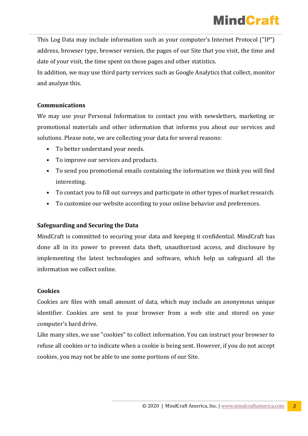This Log Data may include information such as your computer's Internet Protocol ("IP") address, browser type, browser version, the pages of our Site that you visit, the time and date of your visit, the time spent on those pages and other statistics.

In addition, we may use third party services such as Google Analytics that collect, monitor and analyze this.

# **Communications**

We may use your Personal Information to contact you with newsletters, marketing or promotional materials and other information that informs you about our services and solutions. Please note, we are collecting your data for several reasons:

- To better understand your needs.
- To improve our services and products.
- To send you promotional emails containing the information we think you will find interesting.
- To contact you to fill out surveys and participate in other types of market research.
- To customize our website according to your online behavior and preferences.

# **Safeguarding and Securing the Data**

MindCraft is committed to securing your data and keeping it confidential. MindCraft has done all in its power to prevent data theft, unauthorized access, and disclosure by implementing the latest technologies and software, which help us safeguard all the information we collect online.

# **Cookies**

Cookies are files with small amount of data, which may include an anonymous unique identifier. Cookies are sent to your browser from a web site and stored on your computer's hard drive.

Like many sites, we use "cookies" to collect information. You can instruct your browser to refuse all cookies or to indicate when a cookie is being sent. However, if you do not accept cookies, you may not be able to use some portions of our Site.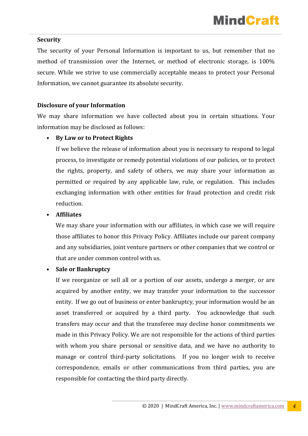# **Security**

The security of your Personal Information is important to us, but remember that no method of transmission over the Internet, or method of electronic storage, is 100% secure. While we strive to use commercially acceptable means to protect your Personal Information, we cannot guarantee its absolute security.

# **Disclosure of your Information**

We may share information we have collected about you in certain situations. Your information may be disclosed as follows:

# • **By Law or to Protect Rights**

If we believe the release of information about you is necessary to respond to legal process, to investigate or remedy potential violations of our policies, or to protect the rights, property, and safety of others, we may share your information as permitted or required by any applicable law, rule, or regulation. This includes exchanging information with other entities for fraud protection and credit risk reduction.

# • **Affiliates**

We may share your information with our affiliates, in which case we will require those affiliates to honor this Privacy Policy. Affiliates include our parent company and any subsidiaries, joint venture partners or other companies that we control or that are under common control with us.

#### • **Sale or Bankruptcy**

If we reorganize or sell all or a portion of our assets, undergo a merger, or are acquired by another entity, we may transfer your information to the successor entity. If we go out of business or enter bankruptcy, your information would be an asset transferred or acquired by a third party. You acknowledge that such transfers may occur and that the transferee may decline honor commitments we made in this Privacy Policy. We are not responsible for the actions of third parties with whom you share personal or sensitive data, and we have no authority to manage or control third-party solicitations. If you no longer wish to receive correspondence, emails or other communications from third parties, you are responsible for contacting the third party directly.